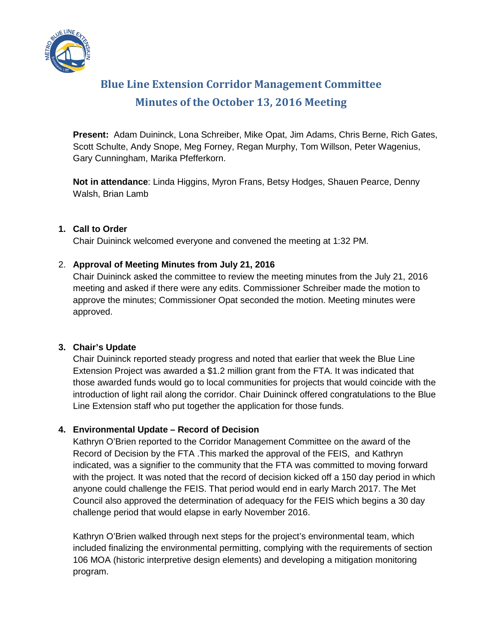

# **Blue Line Extension Corridor Management Committee Minutes of the October 13, 2016 Meeting**

**Present:** Adam Duininck, Lona Schreiber, Mike Opat, Jim Adams, Chris Berne, Rich Gates, Scott Schulte, Andy Snope, Meg Forney, Regan Murphy, Tom Willson, Peter Wagenius, Gary Cunningham, Marika Pfefferkorn.

**Not in attendance**: Linda Higgins, Myron Frans, Betsy Hodges, Shauen Pearce, Denny Walsh, Brian Lamb

#### **1. Call to Order**

Chair Duininck welcomed everyone and convened the meeting at 1:32 PM.

#### 2. **Approval of Meeting Minutes from July 21, 2016**

Chair Duininck asked the committee to review the meeting minutes from the July 21, 2016 meeting and asked if there were any edits. Commissioner Schreiber made the motion to approve the minutes; Commissioner Opat seconded the motion. Meeting minutes were approved.

# **3. Chair's Update**

Chair Duininck reported steady progress and noted that earlier that week the Blue Line Extension Project was awarded a \$1.2 million grant from the FTA. It was indicated that those awarded funds would go to local communities for projects that would coincide with the introduction of light rail along the corridor. Chair Duininck offered congratulations to the Blue Line Extension staff who put together the application for those funds.

#### **4. Environmental Update – Record of Decision**

Kathryn O'Brien reported to the Corridor Management Committee on the award of the Record of Decision by the FTA .This marked the approval of the FEIS, and Kathryn indicated, was a signifier to the community that the FTA was committed to moving forward with the project. It was noted that the record of decision kicked off a 150 day period in which anyone could challenge the FEIS. That period would end in early March 2017. The Met Council also approved the determination of adequacy for the FEIS which begins a 30 day challenge period that would elapse in early November 2016.

Kathryn O'Brien walked through next steps for the project's environmental team, which included finalizing the environmental permitting, complying with the requirements of section 106 MOA (historic interpretive design elements) and developing a mitigation monitoring program.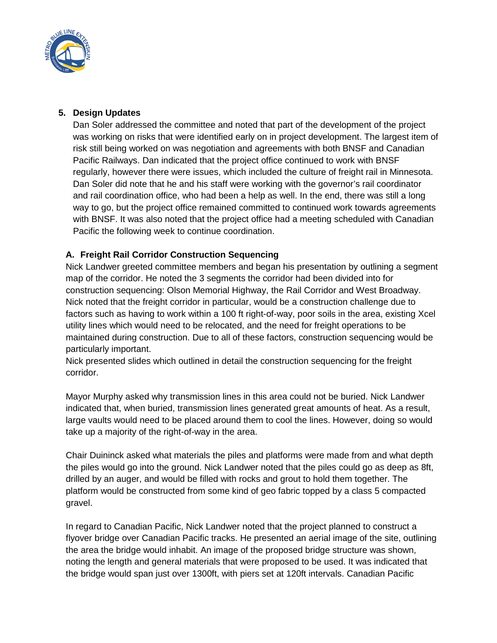

# **5. Design Updates**

Dan Soler addressed the committee and noted that part of the development of the project was working on risks that were identified early on in project development. The largest item of risk still being worked on was negotiation and agreements with both BNSF and Canadian Pacific Railways. Dan indicated that the project office continued to work with BNSF regularly, however there were issues, which included the culture of freight rail in Minnesota. Dan Soler did note that he and his staff were working with the governor's rail coordinator and rail coordination office, who had been a help as well. In the end, there was still a long way to go, but the project office remained committed to continued work towards agreements with BNSF. It was also noted that the project office had a meeting scheduled with Canadian Pacific the following week to continue coordination.

# **A. Freight Rail Corridor Construction Sequencing**

Nick Landwer greeted committee members and began his presentation by outlining a segment map of the corridor. He noted the 3 segments the corridor had been divided into for construction sequencing: Olson Memorial Highway, the Rail Corridor and West Broadway. Nick noted that the freight corridor in particular, would be a construction challenge due to factors such as having to work within a 100 ft right-of-way, poor soils in the area, existing Xcel utility lines which would need to be relocated, and the need for freight operations to be maintained during construction. Due to all of these factors, construction sequencing would be particularly important.

Nick presented slides which outlined in detail the construction sequencing for the freight corridor.

Mayor Murphy asked why transmission lines in this area could not be buried. Nick Landwer indicated that, when buried, transmission lines generated great amounts of heat. As a result, large vaults would need to be placed around them to cool the lines. However, doing so would take up a majority of the right-of-way in the area.

Chair Duininck asked what materials the piles and platforms were made from and what depth the piles would go into the ground. Nick Landwer noted that the piles could go as deep as 8ft, drilled by an auger, and would be filled with rocks and grout to hold them together. The platform would be constructed from some kind of geo fabric topped by a class 5 compacted gravel.

In regard to Canadian Pacific, Nick Landwer noted that the project planned to construct a flyover bridge over Canadian Pacific tracks. He presented an aerial image of the site, outlining the area the bridge would inhabit. An image of the proposed bridge structure was shown, noting the length and general materials that were proposed to be used. It was indicated that the bridge would span just over 1300ft, with piers set at 120ft intervals. Canadian Pacific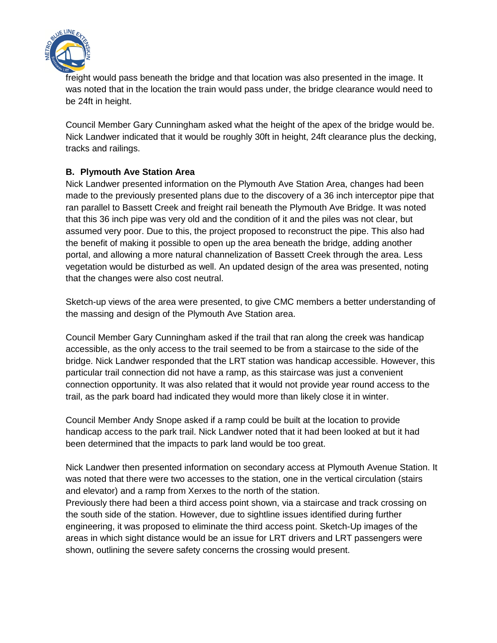

freight would pass beneath the bridge and that location was also presented in the image. It was noted that in the location the train would pass under, the bridge clearance would need to be 24ft in height.

Council Member Gary Cunningham asked what the height of the apex of the bridge would be. Nick Landwer indicated that it would be roughly 30ft in height, 24ft clearance plus the decking, tracks and railings.

# **B. Plymouth Ave Station Area**

Nick Landwer presented information on the Plymouth Ave Station Area, changes had been made to the previously presented plans due to the discovery of a 36 inch interceptor pipe that ran parallel to Bassett Creek and freight rail beneath the Plymouth Ave Bridge. It was noted that this 36 inch pipe was very old and the condition of it and the piles was not clear, but assumed very poor. Due to this, the project proposed to reconstruct the pipe. This also had the benefit of making it possible to open up the area beneath the bridge, adding another portal, and allowing a more natural channelization of Bassett Creek through the area. Less vegetation would be disturbed as well. An updated design of the area was presented, noting that the changes were also cost neutral.

Sketch-up views of the area were presented, to give CMC members a better understanding of the massing and design of the Plymouth Ave Station area.

Council Member Gary Cunningham asked if the trail that ran along the creek was handicap accessible, as the only access to the trail seemed to be from a staircase to the side of the bridge. Nick Landwer responded that the LRT station was handicap accessible. However, this particular trail connection did not have a ramp, as this staircase was just a convenient connection opportunity. It was also related that it would not provide year round access to the trail, as the park board had indicated they would more than likely close it in winter.

Council Member Andy Snope asked if a ramp could be built at the location to provide handicap access to the park trail. Nick Landwer noted that it had been looked at but it had been determined that the impacts to park land would be too great.

Nick Landwer then presented information on secondary access at Plymouth Avenue Station. It was noted that there were two accesses to the station, one in the vertical circulation (stairs and elevator) and a ramp from Xerxes to the north of the station.

Previously there had been a third access point shown, via a staircase and track crossing on the south side of the station. However, due to sightline issues identified during further engineering, it was proposed to eliminate the third access point. Sketch-Up images of the areas in which sight distance would be an issue for LRT drivers and LRT passengers were shown, outlining the severe safety concerns the crossing would present.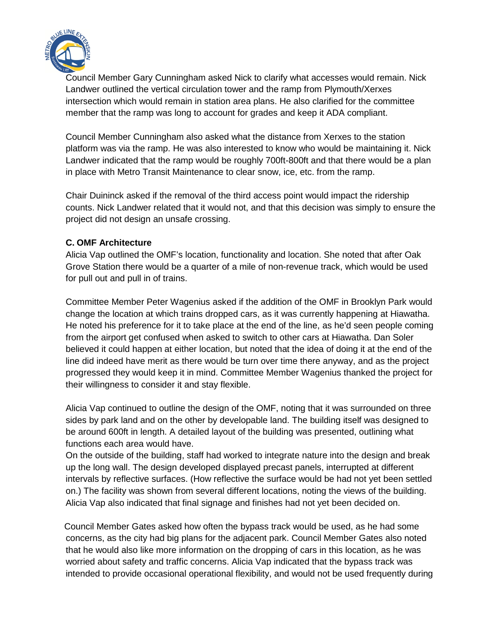

Council Member Gary Cunningham asked Nick to clarify what accesses would remain. Nick Landwer outlined the vertical circulation tower and the ramp from Plymouth/Xerxes intersection which would remain in station area plans. He also clarified for the committee member that the ramp was long to account for grades and keep it ADA compliant.

Council Member Cunningham also asked what the distance from Xerxes to the station platform was via the ramp. He was also interested to know who would be maintaining it. Nick Landwer indicated that the ramp would be roughly 700ft-800ft and that there would be a plan in place with Metro Transit Maintenance to clear snow, ice, etc. from the ramp.

Chair Duininck asked if the removal of the third access point would impact the ridership counts. Nick Landwer related that it would not, and that this decision was simply to ensure the project did not design an unsafe crossing.

#### **C. OMF Architecture**

Alicia Vap outlined the OMF's location, functionality and location. She noted that after Oak Grove Station there would be a quarter of a mile of non-revenue track, which would be used for pull out and pull in of trains.

Committee Member Peter Wagenius asked if the addition of the OMF in Brooklyn Park would change the location at which trains dropped cars, as it was currently happening at Hiawatha. He noted his preference for it to take place at the end of the line, as he'd seen people coming from the airport get confused when asked to switch to other cars at Hiawatha. Dan Soler believed it could happen at either location, but noted that the idea of doing it at the end of the line did indeed have merit as there would be turn over time there anyway, and as the project progressed they would keep it in mind. Committee Member Wagenius thanked the project for their willingness to consider it and stay flexible.

Alicia Vap continued to outline the design of the OMF, noting that it was surrounded on three sides by park land and on the other by developable land. The building itself was designed to be around 600ft in length. A detailed layout of the building was presented, outlining what functions each area would have.

On the outside of the building, staff had worked to integrate nature into the design and break up the long wall. The design developed displayed precast panels, interrupted at different intervals by reflective surfaces. (How reflective the surface would be had not yet been settled on.) The facility was shown from several different locations, noting the views of the building. Alicia Vap also indicated that final signage and finishes had not yet been decided on.

 Council Member Gates asked how often the bypass track would be used, as he had some concerns, as the city had big plans for the adjacent park. Council Member Gates also noted that he would also like more information on the dropping of cars in this location, as he was worried about safety and traffic concerns. Alicia Vap indicated that the bypass track was intended to provide occasional operational flexibility, and would not be used frequently during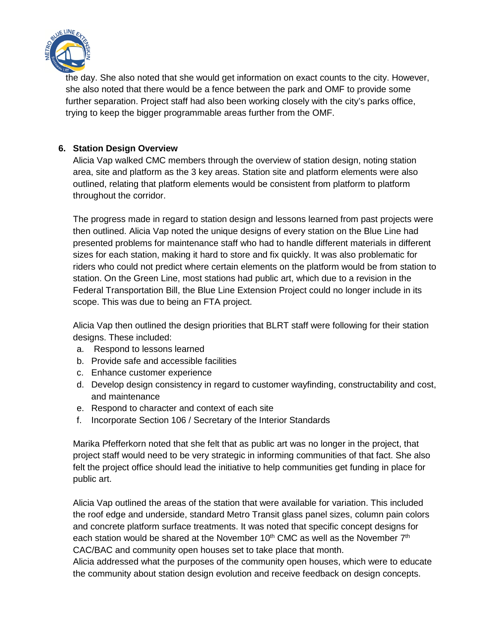

the day. She also noted that she would get information on exact counts to the city. However, she also noted that there would be a fence between the park and OMF to provide some further separation. Project staff had also been working closely with the city's parks office, trying to keep the bigger programmable areas further from the OMF.

#### **6. Station Design Overview**

Alicia Vap walked CMC members through the overview of station design, noting station area, site and platform as the 3 key areas. Station site and platform elements were also outlined, relating that platform elements would be consistent from platform to platform throughout the corridor.

The progress made in regard to station design and lessons learned from past projects were then outlined. Alicia Vap noted the unique designs of every station on the Blue Line had presented problems for maintenance staff who had to handle different materials in different sizes for each station, making it hard to store and fix quickly. It was also problematic for riders who could not predict where certain elements on the platform would be from station to station. On the Green Line, most stations had public art, which due to a revision in the Federal Transportation Bill, the Blue Line Extension Project could no longer include in its scope. This was due to being an FTA project.

Alicia Vap then outlined the design priorities that BLRT staff were following for their station designs. These included:

- a. Respond to lessons learned
- b. Provide safe and accessible facilities
- c. Enhance customer experience
- d. Develop design consistency in regard to customer wayfinding, constructability and cost, and maintenance
- e. Respond to character and context of each site
- f. Incorporate Section 106 / Secretary of the Interior Standards

Marika Pfefferkorn noted that she felt that as public art was no longer in the project, that project staff would need to be very strategic in informing communities of that fact. She also felt the project office should lead the initiative to help communities get funding in place for public art.

Alicia Vap outlined the areas of the station that were available for variation. This included the roof edge and underside, standard Metro Transit glass panel sizes, column pain colors and concrete platform surface treatments. It was noted that specific concept designs for each station would be shared at the November  $10<sup>th</sup>$  CMC as well as the November  $7<sup>th</sup>$ CAC/BAC and community open houses set to take place that month.

Alicia addressed what the purposes of the community open houses, which were to educate the community about station design evolution and receive feedback on design concepts.